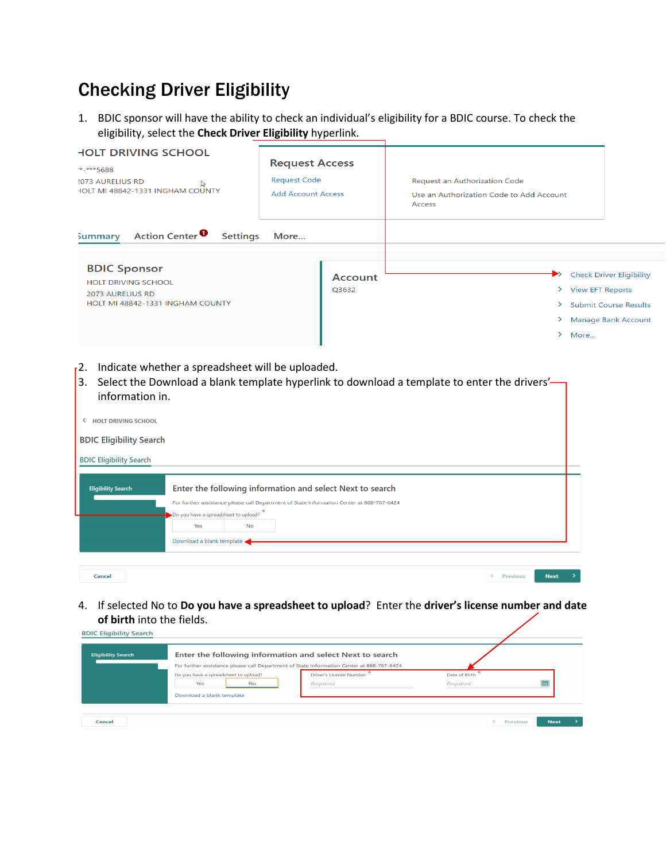## Checking Driver Eligibility

1. BDIC sponsor will have the ability to check an individual's eligibility for a BDIC course. To check the eligibility, select the **Check Driver Eligibility** hyperlink.

| <b>HOLT DRIVING SCHOOL</b><br>*-***5688<br><b>2073 AURELIUS RD</b><br>ি<br>HOLT MI 48842-1331 INGHAM COUNTY                                                                         | <b>Request Access</b><br><b>Request Code</b><br><b>Add Account Access</b> | Request an Authorization Code<br>Use an Authorization Code to Add Account<br>Access                                                               |
|-------------------------------------------------------------------------------------------------------------------------------------------------------------------------------------|---------------------------------------------------------------------------|---------------------------------------------------------------------------------------------------------------------------------------------------|
| Action Center <sup>0</sup><br><b>Settings</b><br><b>Summary</b><br><b>BDIC Sponsor</b><br><b>HOLT DRIVING SCHOOL</b><br><b>2073 AURELIUS RD</b><br>HOLT MI 48842-1331 INGHAM COUNTY | More<br>Account<br>Q3632                                                  | <b>Check Driver Eligibility</b><br>▶<br>> View EFT Reports<br>×.<br><b>Submit Course Results</b><br><b>Manage Bank Account</b><br>≻<br>×.<br>More |

- <sup>2</sup>. Indicate whether a spreadsheet will be uploaded.
- 3. Select the Download a blank template hyperlink to download a template to enter the drivers'information in.

| <b>HOLT DRIVING SCHOOL</b><br>≺ |                                                                          |           |                                                                                                                                                        |                 |             |  |
|---------------------------------|--------------------------------------------------------------------------|-----------|--------------------------------------------------------------------------------------------------------------------------------------------------------|-----------------|-------------|--|
| <b>BDIC Eligibility Search</b>  |                                                                          |           |                                                                                                                                                        |                 |             |  |
| <b>BDIC Eligibility Search</b>  |                                                                          |           |                                                                                                                                                        |                 |             |  |
| <b>Eligibility Search</b>       | Do you have a spreadsheet to upload?<br>Yes<br>Download a blank template | <b>No</b> | Enter the following information and select Next to search<br>For further assistance please call Department of State Information Center at 888-767-6424 |                 |             |  |
| <b>Cancel</b>                   |                                                                          |           |                                                                                                                                                        | <b>Previous</b> | <b>Next</b> |  |

4. If selected No to **Do you have a spreadsheet to upload**? Enter the **driver's license number and date of birth** into the fields.

| <b>Eligibility Search</b> |                                      | Enter the following information and select Next to search<br>For further assistance please call Department of State Information Center at 888-767-6424 |               |  |
|---------------------------|--------------------------------------|--------------------------------------------------------------------------------------------------------------------------------------------------------|---------------|--|
|                           | Do you have a spreadsheet to upload? | Driver's License Number                                                                                                                                | Date of Birth |  |
|                           | Yes<br><b>No</b>                     | Required                                                                                                                                               | Required      |  |
|                           | Download a blank template            |                                                                                                                                                        |               |  |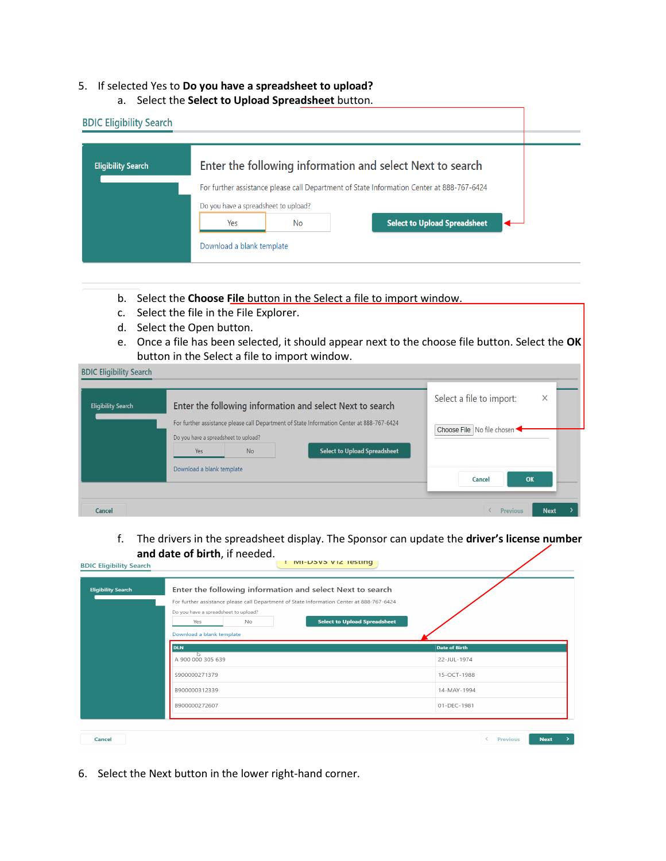## 5. If selected Yes to **Do you have a spreadsheet to upload?**

a. Select the **Select to Upload Spreadsheet** button.

| <b>BDIC Eligibility Search</b> |                                                                          |           |                                                                                                                                                        |  |
|--------------------------------|--------------------------------------------------------------------------|-----------|--------------------------------------------------------------------------------------------------------------------------------------------------------|--|
| <b>Eligibility Search</b>      |                                                                          |           | Enter the following information and select Next to search<br>For further assistance please call Department of State Information Center at 888-767-6424 |  |
|                                | Do you have a spreadsheet to upload?<br>Yes<br>Download a blank template | <b>No</b> | <b>Select to Upload Spreadsheet</b>                                                                                                                    |  |

- b. Select the **Choose File** button in the Select a file to import window.
- c. Select the file in the File Explorer.
- d. Select the Open button.
- e. Once a file has been selected, it should appear next to the choose file button. Select the **OK** button in the Select a file to import window.

| <b>Eligibility Search</b> | Enter the following information and select Next to search                                                                                                                             | Select a file to import:<br>× |
|---------------------------|---------------------------------------------------------------------------------------------------------------------------------------------------------------------------------------|-------------------------------|
|                           | For further assistance please call Department of State Information Center at 888-767-6424<br>Do you have a spreadsheet to upload?<br><b>Select to Upload Spreadsheet</b><br>No<br>Yes | Choose File   No file chosen  |
|                           | Download a blank template                                                                                                                                                             | Cancel<br>OK                  |

f. The drivers in the spreadsheet display. The Sponsor can update the **driver's license number and date of birth**, if needed. ן ווא צו א פאפר בוואו.<br>באפר או

| <b>Eligibility Search</b> | Enter the following information and select Next to search<br>For further assistance please call Department of State Information Center at 888-767-6424<br>Do you have a spreadsheet to upload? |               |
|---------------------------|------------------------------------------------------------------------------------------------------------------------------------------------------------------------------------------------|---------------|
|                           | <b>Select to Upload Spreadsheet</b><br>No<br>Yes<br>Download a blank template                                                                                                                  |               |
|                           | <b>DLN</b>                                                                                                                                                                                     | Date of Birth |
|                           | D.<br>A 900 000 305 639                                                                                                                                                                        | 22-JUL-1974   |
|                           | S900000271379                                                                                                                                                                                  | 15-OCT-1988   |
|                           | B900000312339                                                                                                                                                                                  | 14-MAY-1994   |
|                           | B900000272607                                                                                                                                                                                  | 01-DEC-1981   |
|                           |                                                                                                                                                                                                |               |

6. Select the Next button in the lower right-hand corner.